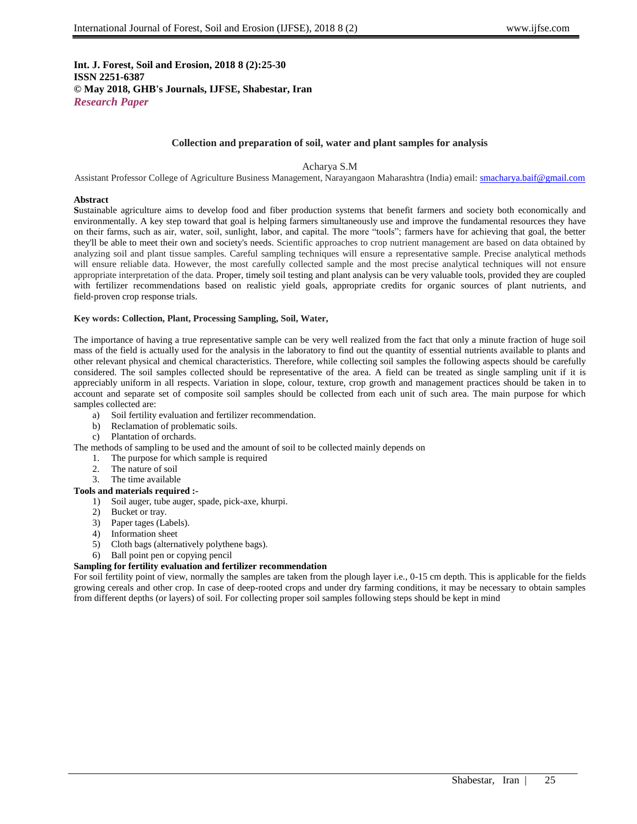**Int. J. Forest, Soil and Erosion, 2018 8 (2):25-30 ISSN 2251-6387 © May 2018, GHB's Journals, IJFSE, Shabestar, Iran** *Research Paper*

# **Collection and preparation of soil, water and plant samples for analysis**

# Acharya S.M

Assistant Professor College of Agriculture Business Management, Narayangaon Maharashtra (India) email[: smacharya.baif@gmail.com](mailto:smacharya.baif@gmail.com)

### **Abstract**

**S**ustainable agriculture aims to develop food and fiber production systems that benefit farmers and society both economically and environmentally. A key step toward that goal is helping farmers simultaneously use and improve the fundamental resources they have on their farms, such as air, water, soil, sunlight, labor, and capital. The more "tools"; farmers have for achieving that goal, the better they'll be able to meet their own and society's needs. Scientific approaches to crop nutrient management are based on data obtained by analyzing soil and plant tissue samples. Careful sampling techniques will ensure a representative sample. Precise analytical methods will ensure reliable data. However, the most carefully collected sample and the most precise analytical techniques will not ensure appropriate interpretation of the data. Proper, timely soil testing and plant analysis can be very valuable tools, provided they are coupled with fertilizer recommendations based on realistic yield goals, appropriate credits for organic sources of plant nutrients, and field‐proven crop response trials.

### **Key words: Collection, Plant, Processing Sampling, Soil, Water,**

The importance of having a true representative sample can be very well realized from the fact that only a minute fraction of huge soil mass of the field is actually used for the analysis in the laboratory to find out the quantity of essential nutrients available to plants and other relevant physical and chemical characteristics. Therefore, while collecting soil samples the following aspects should be carefully considered. The soil samples collected should be representative of the area. A field can be treated as single sampling unit if it is appreciably uniform in all respects. Variation in slope, colour, texture, crop growth and management practices should be taken in to account and separate set of composite soil samples should be collected from each unit of such area. The main purpose for which samples collected are:

- a) Soil fertility evaluation and fertilizer recommendation.
- b) Reclamation of problematic soils.
- c) Plantation of orchards.

The methods of sampling to be used and the amount of soil to be collected mainly depends on

- 1. The purpose for which sample is required
- 2. The nature of soil
- 3. The time available
- **Tools and materials required :-**
	- 1) Soil auger, tube auger, spade, pick-axe, khurpi.
	- 2) Bucket or tray.
	- 3) Paper tages (Labels).
	- 4) Information sheet
	- 5) Cloth bags (alternatively polythene bags).
	- 6) Ball point pen or copying pencil

### **Sampling for fertility evaluation and fertilizer recommendation**

For soil fertility point of view, normally the samples are taken from the plough layer i.e., 0-15 cm depth. This is applicable for the fields growing cereals and other crop. In case of deep-rooted crops and under dry farming conditions, it may be necessary to obtain samples from different depths (or layers) of soil. For collecting proper soil samples following steps should be kept in mind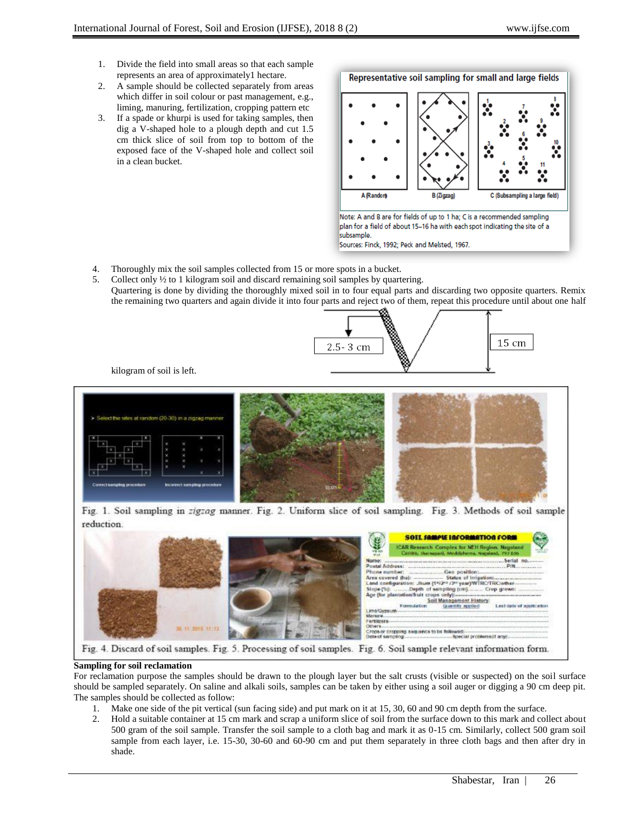- 1. Divide the field into small areas so that each sample represents an area of approximately1 hectare.
- 2. A sample should be collected separately from areas which differ in soil colour or past management, e.g., liming, manuring, fertilization, cropping pattern etc
- 3. If a spade or khurpi is used for taking samples, then dig a V-shaped hole to a plough depth and cut 1.5 cm thick slice of soil from top to bottom of the exposed face of the V-shaped hole and collect soil in a clean bucket.



- 4. Thoroughly mix the soil samples collected from 15 or more spots in a bucket.
- 5. Collect only ½ to 1 kilogram soil and discard remaining soil samples by quartering. Quartering is done by dividing the thoroughly mixed soil in to four equal parts and discarding two opposite quarters. Remix the remaining two quarters and again divide it into four parts and reject two of them, repeat this procedure until about one half



kilogram of soil is left.



Fig. 1. Soil sampling in zigzag manner. Fig. 2. Uniform slice of soil sampling. Fig. 3. Methods of soil sample reduction.



Fig. 4. Discard of soil samples. Fig. 5. Processing of soil samples. Fig. 6. Soil sample relevant information form.

# **Sampling for soil reclamation**

For reclamation purpose the samples should be drawn to the plough layer but the salt crusts (visible or suspected) on the soil surface should be sampled separately. On saline and alkali soils, samples can be taken by either using a soil auger or digging a 90 cm deep pit. The samples should be collected as follow:

- 1. Make one side of the pit vertical (sun facing side) and put mark on it at 15, 30, 60 and 90 cm depth from the surface.
- 2. Hold a suitable container at 15 cm mark and scrap a uniform slice of soil from the surface down to this mark and collect about 500 gram of the soil sample. Transfer the soil sample to a cloth bag and mark it as 0-15 cm. Similarly, collect 500 gram soil sample from each layer, i.e. 15-30, 30-60 and 60-90 cm and put them separately in three cloth bags and then after dry in shade.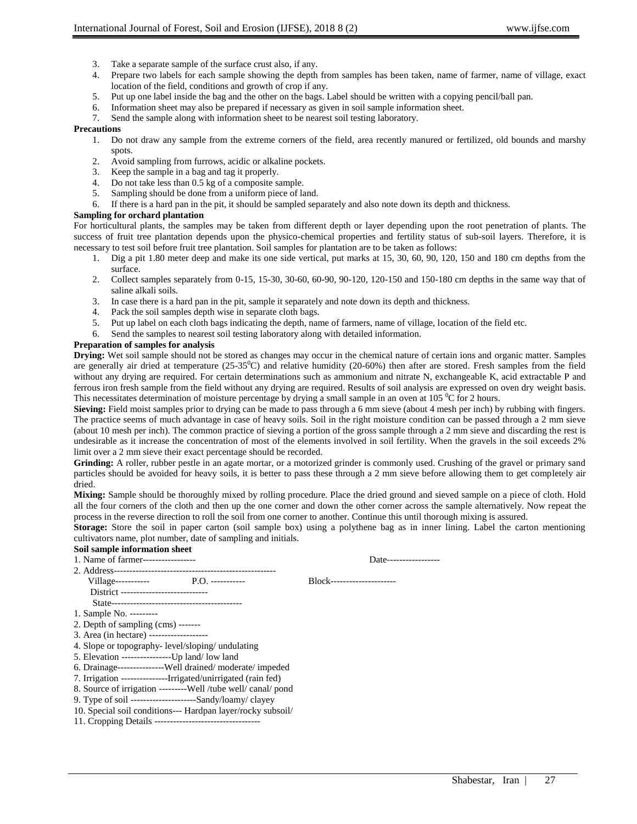- 3. Take a separate sample of the surface crust also, if any.
- 4. Prepare two labels for each sample showing the depth from samples has been taken, name of farmer, name of village, exact location of the field, conditions and growth of crop if any.
- 5. Put up one label inside the bag and the other on the bags. Label should be written with a copying pencil/ball pan.
- 6. Information sheet may also be prepared if necessary as given in soil sample information sheet.
- 7. Send the sample along with information sheet to be nearest soil testing laboratory.

#### **Precautions**

- 1. Do not draw any sample from the extreme corners of the field, area recently manured or fertilized, old bounds and marshy spots.
- 2. Avoid sampling from furrows, acidic or alkaline pockets.
- 3. Keep the sample in a bag and tag it properly.
- 4. Do not take less than 0.5 kg of a composite sample.
- 5. Sampling should be done from a uniform piece of land.
- 6. If there is a hard pan in the pit, it should be sampled separately and also note down its depth and thickness.

### **Sampling for orchard plantation**

For horticultural plants, the samples may be taken from different depth or layer depending upon the root penetration of plants. The success of fruit tree plantation depends upon the physico-chemical properties and fertility status of sub-soil layers. Therefore, it is necessary to test soil before fruit tree plantation. Soil samples for plantation are to be taken as follows:

- 1. Dig a pit 1.80 meter deep and make its one side vertical, put marks at 15, 30, 60, 90, 120, 150 and 180 cm depths from the surface.
- 2. Collect samples separately from 0-15, 15-30, 30-60, 60-90, 90-120, 120-150 and 150-180 cm depths in the same way that of saline alkali soils.
- 3. In case there is a hard pan in the pit, sample it separately and note down its depth and thickness.
- 4. Pack the soil samples depth wise in separate cloth bags.
- 5. Put up label on each cloth bags indicating the depth, name of farmers, name of village, location of the field etc.
- 6. Send the samples to nearest soil testing laboratory along with detailed information.

### **Preparation of samples for analysis**

**Drying:** Wet soil sample should not be stored as changes may occur in the chemical nature of certain ions and organic matter. Samples are generally air dried at temperature ( $25-35^{\circ}$ C) and relative humidity ( $20-60%$ ) then after are stored. Fresh samples from the field without any drying are required. For certain determinations such as ammonium and nitrate N, exchangeable K, acid extractable P and ferrous iron fresh sample from the field without any drying are required. Results of soil analysis are expressed on oven dry weight basis. This necessitates determination of moisture percentage by drying a small sample in an oven at  $105<sup>0</sup>C$  for 2 hours.

**Sieving:** Field moist samples prior to drying can be made to pass through a 6 mm sieve (about 4 mesh per inch) by rubbing with fingers. The practice seems of much advantage in case of heavy soils. Soil in the right moisture condition can be passed through a 2 mm sieve (about 10 mesh per inch). The common practice of sieving a portion of the gross sample through a 2 mm sieve and discarding the rest is undesirable as it increase the concentration of most of the elements involved in soil fertility. When the gravels in the soil exceeds 2% limit over a 2 mm sieve their exact percentage should be recorded.

**Grinding:** A roller, rubber pestle in an agate mortar, or a motorized grinder is commonly used. Crushing of the gravel or primary sand particles should be avoided for heavy soils, it is better to pass these through a 2 mm sieve before allowing them to get completely air dried.

**Mixing:** Sample should be thoroughly mixed by rolling procedure. Place the dried ground and sieved sample on a piece of cloth. Hold all the four corners of the cloth and then up the one corner and down the other corner across the sample alternatively. Now repeat the process in the reverse direction to roll the soil from one corner to another. Continue this until thorough mixing is assured.

**Storage:** Store the soil in paper carton (soil sample box) using a polythene bag as in inner lining. Label the carton mentioning cultivators name, plot number, date of sampling and initials. **Soil sample information sheet**

| soll sample information sneet                                 |                             |
|---------------------------------------------------------------|-----------------------------|
| 1. Name of farmer-----------------                            | Date------------------      |
|                                                               |                             |
| Village------------ P.O. -----------                          | Block---------------------- |
| District ----------------------------                         |                             |
|                                                               |                             |
| 1. Sample No. ---------                                       |                             |
| 2. Depth of sampling $(cms)$ -------                          |                             |
| 3. Area (in hectare) --------------------                     |                             |
| 4. Slope or topography-level/sloping/ undulating              |                             |
| 5. Elevation ------------------Up land/low land               |                             |
| 6. Drainage-----------------Well drained/moderate/impeded     |                             |
|                                                               |                             |
| 8. Source of irrigation ---------Well /tube well/ canal/ pond |                             |
| 9. Type of soil ---------------------Sandy/loamy/ clayey      |                             |
| 10. Special soil conditions--- Hardpan layer/rocky subsoil/   |                             |
|                                                               |                             |
|                                                               |                             |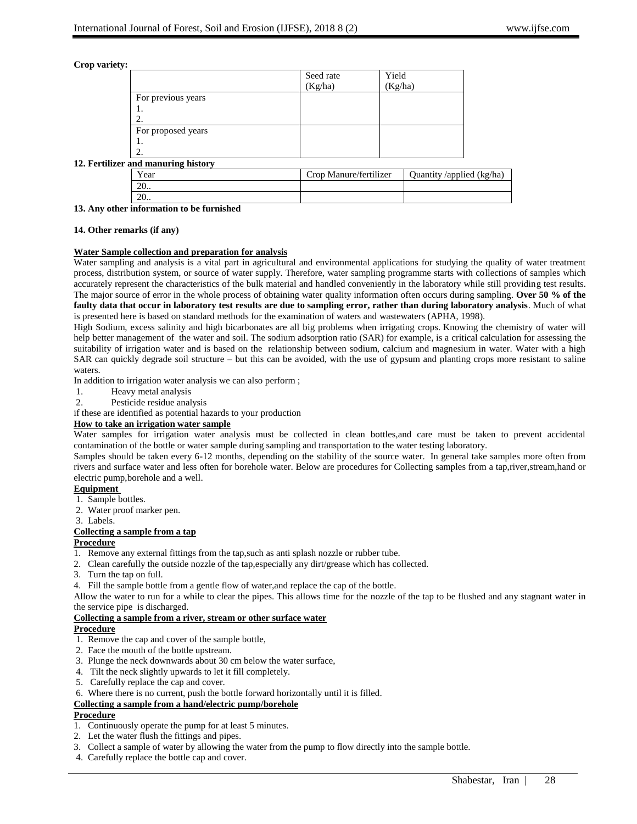### **Crop variety:**

|                    | Seed rate | Yield   |
|--------------------|-----------|---------|
|                    | (Kg/ha)   | (Kg/ha) |
| For previous years |           |         |
| ı.                 |           |         |
|                    |           |         |
| For proposed years |           |         |
| 1.                 |           |         |
|                    |           |         |

### **12. Fertilizer and manuring history**

| Year     | Crop Manure/fertilizer | Quantity/applied (kg/ha) |
|----------|------------------------|--------------------------|
| oc<br>∠∪ |                        |                          |
| or<br>∠∪ |                        |                          |

# **13. Any other information to be furnished**

# **14. Other remarks (if any)**

# **Water Sample collection and preparation for analysis**

Water sampling and analysis is a vital part in agricultural and environmental applications for studying the quality of water treatment process, distribution system, or source of water supply. Therefore, water sampling programme starts with collections of samples which accurately represent the characteristics of the bulk material and handled conveniently in the laboratory while still providing test results. The major source of error in the whole process of obtaining water quality information often occurs during sampling. **Over 50 % of the faulty data that occur in laboratory test results are due to sampling error, rather than during laboratory analysis**. Much of what is presented here is based on standard methods for the examination of waters and wastewaters (APHA, 1998).

High Sodium, excess salinity and high bicarbonates are all big problems when irrigating crops. Knowing the chemistry of water will help better management of the water and soil. The sodium adsorption ratio (SAR) for example, is a critical calculation for assessing the suitability of irrigation water and is based on the relationship between sodium, calcium and magnesium in water. Water with a high SAR can quickly degrade soil structure – but this can be avoided, with the use of gypsum and planting crops more resistant to saline waters.

In addition to irrigation water analysis we can also perform ;

- 1. Heavy metal analysis
- 2. Pesticide residue analysis

if these are identified as potential hazards to your production

# **How to take an irrigation water sample**

Water samples for irrigation water analysis must be collected in clean bottles,and care must be taken to prevent accidental contamination of the bottle or water sample during sampling and transportation to the water testing laboratory.

Samples should be taken every 6-12 months, depending on the stability of the source water. In general take samples more often from rivers and surface water and less often for borehole water. Below are procedures for Collecting samples from a tap,river,stream,hand or electric pump,borehole and a well.

# **Equipment**

- 1. Sample bottles.
- 2. Water proof marker pen.
- 3. Labels.

# **Collecting a sample from a tap**

# **Procedure**

- 1. Remove any external fittings from the tap,such as anti splash nozzle or rubber tube.
- 2. Clean carefully the outside nozzle of the tap,especially any dirt/grease which has collected.
- 3. Turn the tap on full.
- 4. Fill the sample bottle from a gentle flow of water,and replace the cap of the bottle.

Allow the water to run for a while to clear the pipes. This allows time for the nozzle of the tap to be flushed and any stagnant water in the service pipe is discharged.

# **Collecting a sample from a river, stream or other surface water**

# **Procedure**

- 1. Remove the cap and cover of the sample bottle,
- 2. Face the mouth of the bottle upstream.
- 3. Plunge the neck downwards about 30 cm below the water surface,
- 4. Tilt the neck slightly upwards to let it fill completely.
- 5. Carefully replace the cap and cover.
- 6. Where there is no current, push the bottle forward horizontally until it is filled.

# **Collecting a sample from a hand/electric pump/borehole**

# **Procedure**

- 1. Continuously operate the pump for at least 5 minutes.
- 2. Let the water flush the fittings and pipes.
- 3. Collect a sample of water by allowing the water from the pump to flow directly into the sample bottle.
- 4. Carefully replace the bottle cap and cover.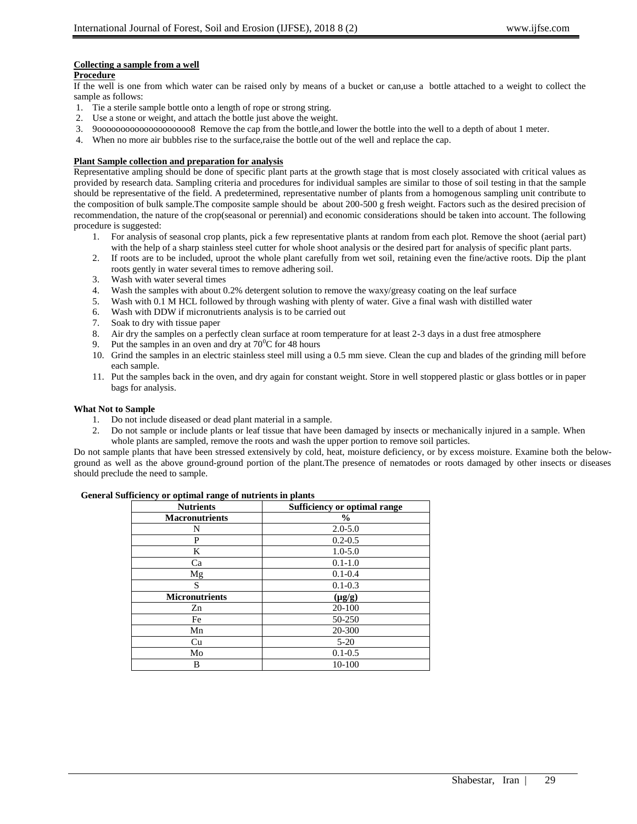### **Collecting a sample from a well**

### **Procedure**

If the well is one from which water can be raised only by means of a bucket or can,use a bottle attached to a weight to collect the sample as follows:

- 1. Tie a sterile sample bottle onto a length of rope or strong string.
- 2. Use a stone or weight, and attach the bottle just above the weight.
- 3. 9oooooooooooooooooooo8 Remove the cap from the bottle,and lower the bottle into the well to a depth of about 1 meter.
- 4. When no more air bubbles rise to the surface,raise the bottle out of the well and replace the cap.

### **Plant Sample collection and preparation for analysis**

Representative ampling should be done of specific plant parts at the growth stage that is most closely associated with critical values as provided by research data. Sampling criteria and procedures for individual samples are similar to those of soil testing in that the sample should be representative of the field. A predetermined, representative number of plants from a homogenous sampling unit contribute to the composition of bulk sample.The composite sample should be about 200-500 g fresh weight. Factors such as the desired precision of recommendation, the nature of the crop(seasonal or perennial) and economic considerations should be taken into account. The following procedure is suggested:

- 1. For analysis of seasonal crop plants, pick a few representative plants at random from each plot. Remove the shoot (aerial part) with the help of a sharp stainless steel cutter for whole shoot analysis or the desired part for analysis of specific plant parts.
- 2. If roots are to be included, uproot the whole plant carefully from wet soil, retaining even the fine/active roots. Dip the plant roots gently in water several times to remove adhering soil.
- 3. Wash with water several times
- 4. Wash the samples with about 0.2% detergent solution to remove the waxy/greasy coating on the leaf surface
- 5. Wash with 0.1 M HCL followed by through washing with plenty of water. Give a final wash with distilled water
- 6. Wash with DDW if micronutrients analysis is to be carried out
- 7. Soak to dry with tissue paper
- 8. Air dry the samples on a perfectly clean surface at room temperature for at least 2-3 days in a dust free atmosphere
- 9. Put the samples in an oven and dry at  $70^{\circ}$ C for 48 hours
- 10. Grind the samples in an electric stainless steel mill using a 0.5 mm sieve. Clean the cup and blades of the grinding mill before each sample.
- 11. Put the samples back in the oven, and dry again for constant weight. Store in well stoppered plastic or glass bottles or in paper bags for analysis.

### **What Not to Sample**

- 1. Do not include diseased or dead plant material in a sample.
- 2. Do not sample or include plants or leaf tissue that have been damaged by insects or mechanically injured in a sample. When whole plants are sampled, remove the roots and wash the upper portion to remove soil particles.

Do not sample plants that have been stressed extensively by cold, heat, moisture deficiency, or by excess moisture. Examine both the belowground as well as the above ground-ground portion of the plant.The presence of nematodes or roots damaged by other insects or diseases should preclude the need to sample.

| <b>Nutrients</b>      | <b>Sufficiency or optimal range</b> |
|-----------------------|-------------------------------------|
| <b>Macronutrients</b> | $\frac{0}{0}$                       |
| N                     | $2.0 - 5.0$                         |
| P                     | $0.2 - 0.5$                         |
| K                     | $1.0 - 5.0$                         |
| Ca                    | $0.1 - 1.0$                         |
| Mg                    | $0.1 - 0.4$                         |
| S                     | $0.1 - 0.3$                         |
| <b>Micronutrients</b> | $(\mu g/g)$                         |
| Zn                    | 20-100                              |
| Fe                    | 50-250                              |
| Mn                    | 20-300                              |
| Cu                    | $5 - 20$                            |
| Mo                    | $0.1 - 0.5$                         |
| B                     | 10-100                              |

### **General Sufficiency or optimal range of nutrients in plants**